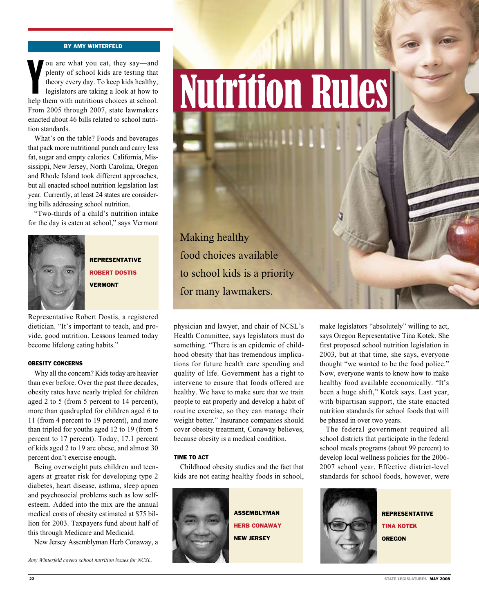## By Amy Winterfeld

ou are what you eat, they say—and<br>plenty of school kids are testing that<br>theory every day. To keep kids healthy,<br>legislators are taking a look at how to<br>help them with nutritious choices at school. ou are what you eat, they say—and plenty of school kids are testing that theory every day. To keep kids healthy, legislators are taking a look at how to From 2005 through 2007, state lawmakers enacted about 46 bills related to school nutrition standards.

What's on the table? Foods and beverages that pack more nutritional punch and carry less fat, sugar and empty calories. California, Mississippi, New Jersey, North Carolina, Oregon and Rhode Island took different approaches, but all enacted school nutrition legislation last year. Currently, at least 24 states are considering bills addressing school nutrition.

"Two-thirds of a child's nutrition intake for the day is eaten at school," says Vermont



Representative Robert Dostis **VERMONT** 

Representative Robert Dostis, a registered dietician. "It's important to teach, and provide, good nutrition. Lessons learned today become lifelong eating habits."

### Obesity Concerns

Why all the concern? Kids today are heavier than ever before. Over the past three decades, obesity rates have nearly tripled for children aged 2 to 5 (from 5 percent to 14 percent), more than quadrupled for children aged 6 to 11 (from 4 percent to 19 percent), and more than tripled for youths aged 12 to 19 (from 5 percent to 17 percent). Today, 17.1 percent of kids aged 2 to 19 are obese, and almost 30 percent don't exercise enough.

Being overweight puts children and teenagers at greater risk for developing type 2 diabetes, heart disease, asthma, sleep apnea and psychosocial problems such as low selfesteem. Added into the mix are the annual medical costs of obesity estimated at \$75 billion for 2003. Taxpayers fund about half of this through Medicare and Medicaid.

New Jersey Assemblyman Herb Conaway, a

*Amy Winterfeld covers school nutrition issues for NCSL.*

Nutrition Rules

Making healthy food choices available to school kids is a priority for many lawmakers.

physician and lawyer, and chair of NCSL's Health Committee, says legislators must do something. "There is an epidemic of childhood obesity that has tremendous implications for future health care spending and quality of life. Government has a right to intervene to ensure that foods offered are healthy. We have to make sure that we train people to eat properly and develop a habit of routine exercise, so they can manage their weight better." Insurance companies should cover obesity treatment, Conaway believes, because obesity is a medical condition.

# time to act

Childhood obesity studies and the fact that kids are not eating healthy foods in school,



make legislators "absolutely" willing to act, says Oregon Representative Tina Kotek. She first proposed school nutrition legislation in 2003, but at that time, she says, everyone thought "we wanted to be the food police." Now, everyone wants to know how to make healthy food available economically. "It's been a huge shift," Kotek says. Last year, with bipartisan support, the state enacted nutrition standards for school foods that will be phased in over two years.

The federal government required all school districts that participate in the federal school meals programs (about 99 percent) to develop local wellness policies for the 2006- 2007 school year. Effective district-level standards for school foods, however, were



**REPRESENTATIVE** Tina Kotek **OREGON**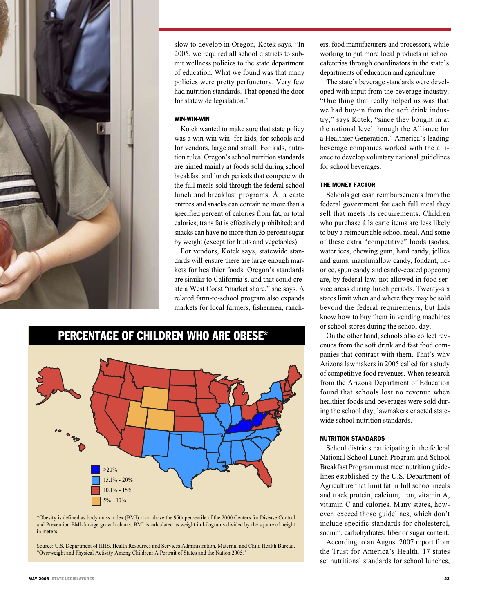

slow to develop in Oregon, Kotek says. "In 2005, we required all school districts to submit wellness policies to the state department of education. What we found was that many policies were pretty perfunctory. Very few had nutrition standards. That opened the door for statewide legislation."

#### Win-Win-Win

Kotek wanted to make sure that state policy was a win-win-win: for kids, for schools and for vendors, large and small. For kids, nutrition rules. Oregon's school nutrition standards are aimed mainly at foods sold during school breakfast and lunch periods that compete with the full meals sold through the federal school lunch and breakfast programs. À la carte entrees and snacks can contain no more than a specified percent of calories from fat, or total calories; trans fat is effectively prohibited; and snacks can have no more than 35 percent sugar by weight (except for fruits and vegetables).

For vendors, Kotek says, statewide standards will ensure there are large enough markets for healthier foods. Oregon's standards are similar to California's, and that could create a West Coast "market share," she says. A related farm-to-school program also expands markets for local farmers, fishermen, ranch-



<sup>\*</sup>Obesity is defined as body mass index (BMI) at or above the 95th percentile of the 2000 Centers for Disease Control and Prevention BMI-for-age growth charts. BMI is calculated as weight in kilograms divided by the square of height in meters.

Source: U.S. Department of HHS, Health Resources and Services Administration, Maternal and Child Health Bureau, "Overweight and Physical Activity Among Children: A Portrait of States and the Nation 2005."

ers, food manufacturers and processors, while working to put more local products in school cafeterias through coordinators in the state's departments of education and agriculture.

The state's beverage standards were developed with input from the beverage industry. "One thing that really helped us was that we had buy-in from the soft drink industry," says Kotek, "since they bought in at the national level through the Alliance for a Healthier Generation." America's leading beverage companies worked with the alliance to develop voluntary national guidelines for school beverages.

## The Money Factor

Schools get cash reimbursements from the federal government for each full meal they sell that meets its requirements. Children who purchase á la carte items are less likely to buy a reimbursable school meal. And some of these extra "competitive" foods (sodas, water ices, chewing gum, hard candy, jellies and gums, marshmallow candy, fondant, licorice, spun candy and candy-coated popcorn) are, by federal law, not allowed in food service areas during lunch periods. Twenty-six states limit when and where they may be sold beyond the federal requirements, but kids know how to buy them in vending machines or school stores during the school day.

On the other hand, schools also collect revenues from the soft drink and fast food companies that contract with them. That's why Arizona lawmakers in 2005 called for a study of competitive food revenues. When research from the Arizona Department of Education found that schools lost no revenue when healthier foods and beverages were sold during the school day, lawmakers enacted statewide school nutrition standards.

#### Nutrition Standards

School districts participating in the federal National School Lunch Program and School Breakfast Program must meet nutrition guidelines established by the U.S. Department of Agriculture that limit fat in full school meals and track protein, calcium, iron, vitamin A, vitamin C and calories. Many states, however, exceed those guidelines, which don't include specific standards for cholesterol, sodium, carbohydrates, fiber or sugar content.

According to an August 2007 report from the Trust for America's Health, 17 states set nutritional standards for school lunches,